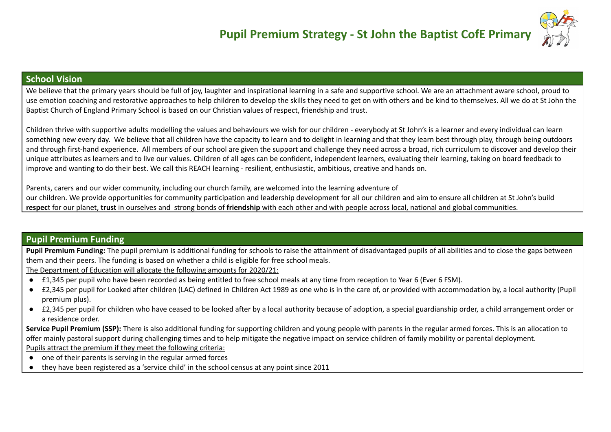

## **School Vision**

We believe that the primary years should be full of joy, laughter and inspirational learning in a safe and supportive school. We are an attachment aware school, proud to use emotion coaching and restorative approaches to help children to develop the skills they need to get on with others and be kind to themselves. All we do at St John the Baptist Church of England Primary School is based on our Christian values of respect, friendship and trust.

Children thrive with supportive adults modelling the values and behaviours we wish for our children - everybody at St John's is a learner and every individual can learn something new every day. We believe that all children have the capacity to learn and to delight in learning and that they learn best through play, through being outdoors and through first-hand experience. All members of our school are given the support and challenge they need across a broad, rich curriculum to discover and develop their unique attributes as learners and to live our values. Children of all ages can be confident, independent learners, evaluating their learning, taking on board feedback to improve and wanting to do their best. We call this REACH learning - resilient, enthusiastic, ambitious, creative and hands on.

Parents, carers and our wider community, including our church family, are welcomed into the learning adventure of our children. We provide opportunities for community participation and leadership development for all our children and aim to ensure all children at St John's build **respec**t for our planet, **trust** in ourselves and strong bonds of **friendship** with each other and with people across local, national and global communities.

## **Pupil Premium Funding**

**Pupil Premium Funding:** The pupil premium is additional funding for schools to raise the attainment of disadvantaged pupils of all abilities and to close the gaps between them and their peers. The funding is based on whether a child is eligible for free school meals.

The Department of Education will allocate the following amounts for 2020/21:

- £1,345 per pupil who have been recorded as being entitled to free school meals at any time from reception to Year 6 (Ever 6 FSM).
- £2,345 per pupil for Looked after children (LAC) defined in Children Act 1989 as one who is in the care of, or provided with accommodation by, a local authority (Pupil premium plus).
- £2,345 per pupil for children who have ceased to be looked after by a local authority because of adoption, a special guardianship order, a child arrangement order or a residence order.

**Service Pupil Premium (SSP):** There is also additional funding for supporting children and young people with parents in the regular armed forces. This is an allocation to offer mainly pastoral support during challenging times and to help mitigate the negative impact on service children of family mobility or parental deployment. Pupils attract the premium if they meet the following criteria:

- one of their parents is serving in the regular armed forces
- they have been registered as a 'service child' in the school census at any point since 2011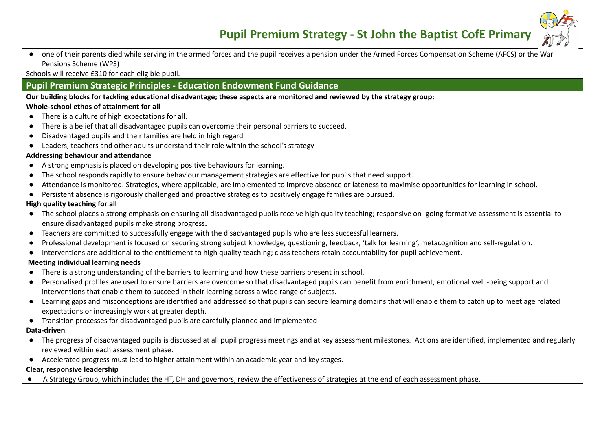

● one of their parents died while serving in the armed forces and the pupil receives a pension under the Armed Forces Compensation Scheme (AFCS) or the War Pensions Scheme (WPS)

Schools will receive £310 for each eligible pupil.

## **Pupil Premium Strategic Principles - Education Endowment Fund Guidance**

Our building blocks for tackling educational disadvantage: these aspects are monitored and reviewed by the strategy group: **Whole-school ethos of attainment for all**

- There is a culture of high expectations for all.
- There is a belief that all disadvantaged pupils can overcome their personal barriers to succeed.
- Disadvantaged pupils and their families are held in high regard
- Leaders, teachers and other adults understand their role within the school's strategy

### **Addressing behaviour and attendance**

- A strong emphasis is placed on developing positive behaviours for learning.
- The school responds rapidly to ensure behaviour management strategies are effective for pupils that need support.
- Attendance is monitored. Strategies, where applicable, are implemented to improve absence or lateness to maximise opportunities for learning in school.
- Persistent absence is rigorously challenged and proactive strategies to positively engage families are pursued.

#### **High quality teaching for all**

- **●** The school places a strong emphasis on ensuring all disadvantaged pupils receive high quality teaching; responsive on- going formative assessment is essential to ensure disadvantaged pupils make strong progress**.**
- Teachers are committed to successfully engage with the disadvantaged pupils who are less successful learners.
- Professional development is focused on securing strong subject knowledge, questioning, feedback, 'talk for learning', metacognition and self-regulation.
- Interventions are additional to the entitlement to high quality teaching; class teachers retain accountability for pupil achievement.

### **Meeting individual learning needs**

- **●** There is a strong understanding of the barriers to learning and how these barriers present in school.
- Personalised profiles are used to ensure barriers are overcome so that disadvantaged pupils can benefit from enrichment, emotional well -being support and interventions that enable them to succeed in their learning across a wide range of subjects.
- Learning gaps and misconceptions are identified and addressed so that pupils can secure learning domains that will enable them to catch up to meet age related expectations or increasingly work at greater depth.
- Transition processes for disadvantaged pupils are carefully planned and implemented

### **Data-driven**

- The progress of disadvantaged pupils is discussed at all pupil progress meetings and at key assessment milestones. Actions are identified, implemented and regularly reviewed within each assessment phase.
- Accelerated progress must lead to higher attainment within an academic year and key stages.

### **Clear, responsive leadership**

A Strategy Group, which includes the HT, DH and governors, review the effectiveness of strategies at the end of each assessment phase.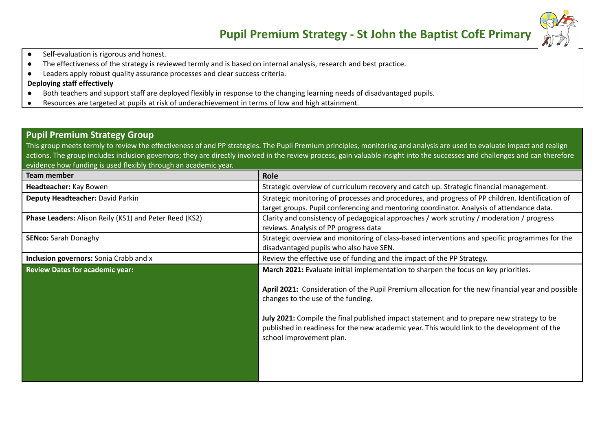

- Self-evaluation is rigorous and honest.
- The effectiveness of the strategy is reviewed termly and is based on internal analysis, research and best practice.
- Leaders apply robust quality assurance processes and clear success criteria.

### **Deploying staff effectively**

- Both teachers and support staff are deployed flexibly in response to the changing learning needs of disadvantaged pupils.
- Resources are targeted at pupils at risk of underachievement in terms of low and high attainment.

### **Pupil Premium Strategy Group**

This group meets termly to review the effectiveness of and PP strategies. The Pupil Premium principles, monitoring and analysis are used to evaluate impact and realign actions. The group includes inclusion governors; they are directly involved in the review process, gain valuable insight into the successes and challenges and can therefore evidence how funding is used flexibly through an academic year.

| Team member                                            | Role                                                                                              |
|--------------------------------------------------------|---------------------------------------------------------------------------------------------------|
| Headteacher: Kay Bowen                                 | Strategic overview of curriculum recovery and catch up. Strategic financial management.           |
| Deputy Headteacher: David Parkin                       | Strategic monitoring of processes and procedures, and progress of PP children. Identification of  |
|                                                        | target groups. Pupil conferencing and mentoring coordinator. Analysis of attendance data.         |
| Phase Leaders: Alison Reily (KS1) and Peter Reed (KS2) | Clarity and consistency of pedagogical approaches / work scrutiny / moderation / progress         |
|                                                        | reviews. Analysis of PP progress data                                                             |
| <b>SENco:</b> Sarah Donaghy                            | Strategic overview and monitoring of class-based interventions and specific programmes for the    |
|                                                        | disadvantaged pupils who also have SEN.                                                           |
| <b>Inclusion governors:</b> Sonia Crabb and x          | Review the effective use of funding and the impact of the PP Strategy.                            |
| <b>Review Dates for academic year:</b>                 | March 2021: Evaluate initial implementation to sharpen the focus on key priorities.               |
|                                                        |                                                                                                   |
|                                                        | April 2021: Consideration of the Pupil Premium allocation for the new financial year and possible |
|                                                        | changes to the use of the funding.                                                                |
|                                                        |                                                                                                   |
|                                                        | July 2021: Compile the final published impact statement and to prepare new strategy to be         |
|                                                        | published in readiness for the new academic year. This would link to the development of the       |
|                                                        | school improvement plan.                                                                          |
|                                                        |                                                                                                   |
|                                                        |                                                                                                   |
|                                                        |                                                                                                   |
|                                                        |                                                                                                   |
|                                                        |                                                                                                   |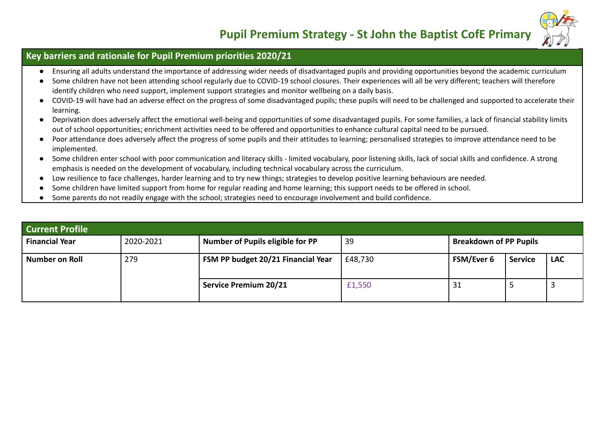

## **Key barriers and rationale for Pupil Premium priorities 2020/21**

- Ensuring all adults understand the importance of addressing wider needs of disadvantaged pupils and providing opportunities beyond the academic curriculum
- Some children have not been attending school regularly due to COVID-19 school closures. Their experiences will all be very different; teachers will therefore identify children who need support, implement support strategies and monitor wellbeing on a daily basis.
- COVID-19 will have had an adverse effect on the progress of some disadvantaged pupils; these pupils will need to be challenged and supported to accelerate their learning.
- Deprivation does adversely affect the emotional well-being and opportunities of some disadvantaged pupils. For some families, a lack of financial stability limits out of school opportunities; enrichment activities need to be offered and opportunities to enhance cultural capital need to be pursued.
- Poor attendance does adversely affect the progress of some pupils and their attitudes to learning; personalised strategies to improve attendance need to be implemented.
- *●* Some children enter school with poor communication and literacy skills limited vocabulary, poor listening skills, lack of social skills and confidence. A strong emphasis is needed on the development of vocabulary, including technical vocabulary across the curriculum.
- Low resilience to face challenges, harder learning and to try new things; strategies to develop positive learning behaviours are needed.
- Some children have limited support from home for regular reading and home learning; this support needs to be offered in school.
- Some parents do not readily engage with the school; strategies need to encourage involvement and build confidence.

| <b>Current Profile</b> |           |                                    |         |                               |                |            |
|------------------------|-----------|------------------------------------|---------|-------------------------------|----------------|------------|
| <b>Financial Year</b>  | 2020-2021 | Number of Pupils eligible for PP   | 39      | <b>Breakdown of PP Pupils</b> |                |            |
| Number on Roll         | 279       | FSM PP budget 20/21 Financial Year | £48,730 | <b>FSM/Ever 6</b>             | <b>Service</b> | <b>LAC</b> |
|                        |           | <b>Service Premium 20/21</b>       | £1,550  | 31                            |                |            |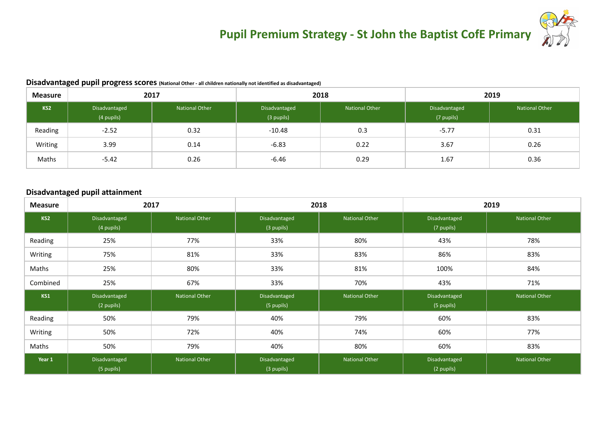

#### **Disadvantaged pupil progress scores (National Other - all children nationally not identified as disadvantaged)**

| <b>Measure</b> | 2017                        |                | 2018                        |                | 2019                        |                       |
|----------------|-----------------------------|----------------|-----------------------------|----------------|-----------------------------|-----------------------|
| KS2            | Disadvantaged<br>(4 pupils) | National Other | Disadvantaged<br>(3 pupils) | National Other | Disadvantaged<br>(7 pupils) | <b>National Other</b> |
| Reading        | $-2.52$                     | 0.32           | $-10.48$                    | 0.3            | $-5.77$                     | 0.31                  |
| Writing        | 3.99                        | 0.14           | $-6.83$                     | 0.22           | 3.67                        | 0.26                  |
| Maths          | $-5.42$                     | 0.26           | $-6.46$                     | 0.29           | 1.67                        | 0.36                  |

#### **Disadvantaged pupil attainment**

| <b>Measure</b>  | 2017                        |                       | 2018                        |                       | 2019                        |                       |
|-----------------|-----------------------------|-----------------------|-----------------------------|-----------------------|-----------------------------|-----------------------|
| KS <sub>2</sub> | Disadvantaged<br>(4 pupils) | <b>National Other</b> | Disadvantaged<br>(3 pupils) | <b>National Other</b> | Disadvantaged<br>(7 pupils) | <b>National Other</b> |
| Reading         | 25%                         | 77%                   | 33%                         | 80%                   | 43%                         | 78%                   |
| Writing         | 75%                         | 81%                   | 33%                         | 83%                   | 86%                         | 83%                   |
| Maths           | 25%                         | 80%                   | 33%                         | 81%                   | 100%                        | 84%                   |
| Combined        | 25%                         | 67%                   | 33%                         | 70%                   | 43%                         | 71%                   |
| KS1             | Disadvantaged<br>(2 pupils) | <b>National Other</b> | Disadvantaged<br>(5 pupils) | <b>National Other</b> | Disadvantaged<br>(5 pupils) | <b>National Other</b> |
| Reading         | 50%                         | 79%                   | 40%                         | 79%                   | 60%                         | 83%                   |
| Writing         | 50%                         | 72%                   | 40%                         | 74%                   | 60%                         | 77%                   |
| Maths           | 50%                         | 79%                   | 40%                         | 80%                   | 60%                         | 83%                   |
| Year 1          | Disadvantaged<br>(5 pupils) | <b>National Other</b> | Disadvantaged<br>(3 pupils) | <b>National Other</b> | Disadvantaged<br>(2 pupils) | <b>National Other</b> |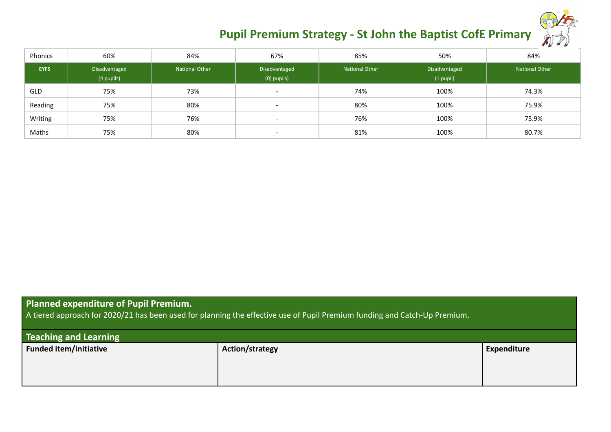| Phonics     | 60%                         | 84%                   | 67%                          | 85%            | 50%                          | 84%            |
|-------------|-----------------------------|-----------------------|------------------------------|----------------|------------------------------|----------------|
| <b>EYFS</b> | Disadvantaged<br>(4 pupils) | <b>National Other</b> | Disadvantaged<br>(0) pupils) | National Other | Disadvantaged<br>$(1$ pupil) | National Other |
| GLD         | 75%                         | 73%                   | $\overline{\phantom{0}}$     | 74%            | 100%                         | 74.3%          |
| Reading     | 75%                         | 80%                   | $\overline{\phantom{0}}$     | 80%            | 100%                         | 75.9%          |
| Writing     | 75%                         | 76%                   | $\overline{\phantom{0}}$     | 76%            | 100%                         | 75.9%          |
| Maths       | 75%                         | 80%                   | $\overline{\phantom{0}}$     | 81%            | 100%                         | 80.7%          |

## **Planned expenditure of Pupil Premium.**

A tiered approach for 2020/21 has been used for planning the effective use of Pupil Premium funding and Catch-Up Premium.

| <b>Teaching and Learning</b> |                 |             |  |  |  |
|------------------------------|-----------------|-------------|--|--|--|
| Funded item/initiative       | Action/strategy | Expenditure |  |  |  |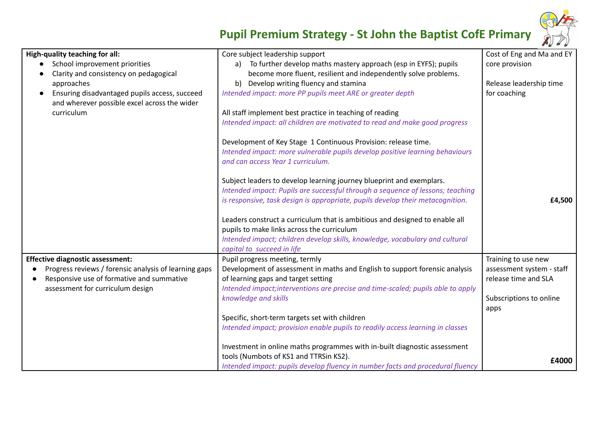

| High-quality teaching for all:                         | Core subject leadership support                                                  | Cost of Eng and Ma and EY |
|--------------------------------------------------------|----------------------------------------------------------------------------------|---------------------------|
| School improvement priorities                          | To further develop maths mastery approach (esp in EYFS); pupils<br>a)            | core provision            |
| Clarity and consistency on pedagogical                 | become more fluent, resilient and independently solve problems.                  |                           |
| approaches                                             | b) Develop writing fluency and stamina                                           | Release leadership time   |
| Ensuring disadvantaged pupils access, succeed          | Intended impact: more PP pupils meet ARE or greater depth                        | for coaching              |
| and wherever possible excel across the wider           |                                                                                  |                           |
| curriculum                                             | All staff implement best practice in teaching of reading                         |                           |
|                                                        | Intended impact: all children are motivated to read and make good progress       |                           |
|                                                        | Development of Key Stage 1 Continuous Provision: release time.                   |                           |
|                                                        | Intended impact: more vulnerable pupils develop positive learning behaviours     |                           |
|                                                        | and can access Year 1 curriculum.                                                |                           |
|                                                        | Subject leaders to develop learning journey blueprint and exemplars.             |                           |
|                                                        | Intended impact: Pupils are successful through a sequence of lessons; teaching   |                           |
|                                                        | is responsive, task design is appropriate, pupils develop their metacognition.   | £4,500                    |
|                                                        |                                                                                  |                           |
|                                                        | Leaders construct a curriculum that is ambitious and designed to enable all      |                           |
|                                                        | pupils to make links across the curriculum                                       |                           |
|                                                        | Intended impact; children develop skills, knowledge, vocabulary and cultural     |                           |
|                                                        | capital to succeed in life                                                       |                           |
| <b>Effective diagnostic assessment:</b>                | Pupil progress meeting, termly                                                   | Training to use new       |
| Progress reviews / forensic analysis of learning gaps  | Development of assessment in maths and English to support forensic analysis      | assessment system - staff |
| Responsive use of formative and summative<br>$\bullet$ | of learning gaps and target setting                                              | release time and SLA      |
| assessment for curriculum design                       | Intended impact; interventions are precise and time-scaled; pupils able to apply |                           |
|                                                        | knowledge and skills                                                             | Subscriptions to online   |
|                                                        |                                                                                  | apps                      |
|                                                        | Specific, short-term targets set with children                                   |                           |
|                                                        | Intended impact; provision enable pupils to readily access learning in classes   |                           |
|                                                        | Investment in online maths programmes with in-built diagnostic assessment        |                           |
|                                                        | tools (Numbots of KS1 and TTRSin KS2).                                           | £4000                     |
|                                                        | Intended impact: pupils develop fluency in number facts and procedural fluency   |                           |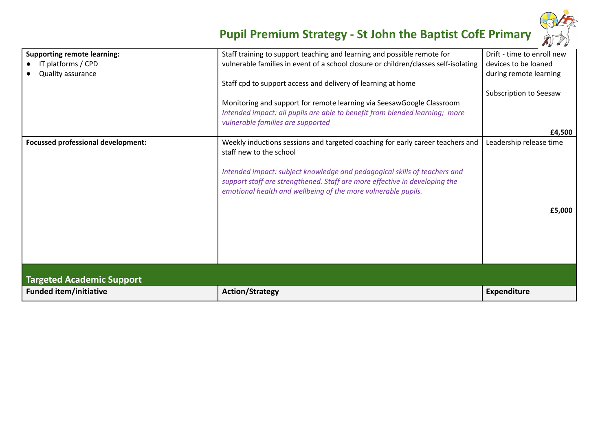

| <b>Supporting remote learning:</b>        | Staff training to support teaching and learning and possible remote for                                                                                                                                                  | Drift - time to enroll new |
|-------------------------------------------|--------------------------------------------------------------------------------------------------------------------------------------------------------------------------------------------------------------------------|----------------------------|
| IT platforms / CPD                        | vulnerable families in event of a school closure or children/classes self-isolating                                                                                                                                      | devices to be loaned       |
| Quality assurance                         |                                                                                                                                                                                                                          | during remote learning     |
|                                           | Staff cpd to support access and delivery of learning at home                                                                                                                                                             |                            |
|                                           |                                                                                                                                                                                                                          | Subscription to Seesaw     |
|                                           | Monitoring and support for remote learning via SeesawGoogle Classroom                                                                                                                                                    |                            |
|                                           | Intended impact: all pupils are able to benefit from blended learning; more                                                                                                                                              |                            |
|                                           | vulnerable families are supported                                                                                                                                                                                        |                            |
|                                           |                                                                                                                                                                                                                          | £4,500                     |
| <b>Focussed professional development:</b> | Weekly inductions sessions and targeted coaching for early career teachers and<br>staff new to the school                                                                                                                | Leadership release time    |
|                                           | Intended impact: subject knowledge and pedagogical skills of teachers and<br>support staff are strengthened. Staff are more effective in developing the<br>emotional health and wellbeing of the more vulnerable pupils. |                            |
|                                           |                                                                                                                                                                                                                          | £5,000                     |
|                                           |                                                                                                                                                                                                                          |                            |
|                                           |                                                                                                                                                                                                                          |                            |
|                                           |                                                                                                                                                                                                                          |                            |
|                                           |                                                                                                                                                                                                                          |                            |
|                                           |                                                                                                                                                                                                                          |                            |
| <b>Targeted Academic Support</b>          |                                                                                                                                                                                                                          |                            |
| <b>Funded item/initiative</b>             | <b>Action/Strategy</b>                                                                                                                                                                                                   | <b>Expenditure</b>         |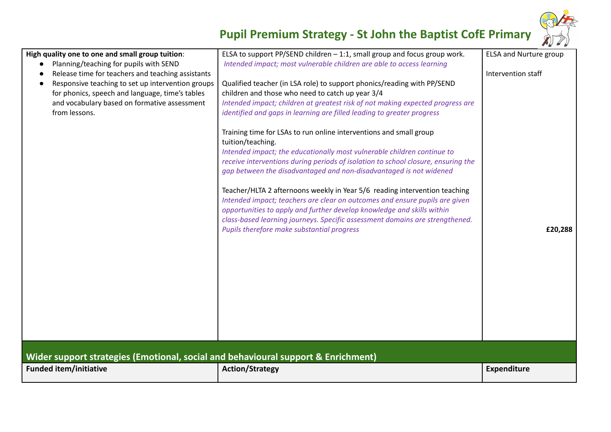

| High quality one to one and small group tuition:                                                       | ELSA to support PP/SEND children - 1:1, small group and focus group work.                                                                                                                                                                                                                                                                                                                                                                                                                                                                                                                                                                                                                          | <b>ELSA and Nurture group</b> |
|--------------------------------------------------------------------------------------------------------|----------------------------------------------------------------------------------------------------------------------------------------------------------------------------------------------------------------------------------------------------------------------------------------------------------------------------------------------------------------------------------------------------------------------------------------------------------------------------------------------------------------------------------------------------------------------------------------------------------------------------------------------------------------------------------------------------|-------------------------------|
| Planning/teaching for pupils with SEND                                                                 | Intended impact; most vulnerable children are able to access learning                                                                                                                                                                                                                                                                                                                                                                                                                                                                                                                                                                                                                              |                               |
| Release time for teachers and teaching assistants<br>Responsive teaching to set up intervention groups | Qualified teacher (in LSA role) to support phonics/reading with PP/SEND                                                                                                                                                                                                                                                                                                                                                                                                                                                                                                                                                                                                                            | Intervention staff            |
| for phonics, speech and language, time's tables                                                        | children and those who need to catch up year 3/4                                                                                                                                                                                                                                                                                                                                                                                                                                                                                                                                                                                                                                                   |                               |
| and vocabulary based on formative assessment                                                           | Intended impact; children at greatest risk of not making expected progress are                                                                                                                                                                                                                                                                                                                                                                                                                                                                                                                                                                                                                     |                               |
| from lessons.                                                                                          | identified and gaps in learning are filled leading to greater progress                                                                                                                                                                                                                                                                                                                                                                                                                                                                                                                                                                                                                             |                               |
|                                                                                                        | Training time for LSAs to run online interventions and small group<br>tuition/teaching.<br>Intended impact; the educationally most vulnerable children continue to<br>receive interventions during periods of isolation to school closure, ensuring the<br>gap between the disadvantaged and non-disadvantaged is not widened<br>Teacher/HLTA 2 afternoons weekly in Year 5/6 reading intervention teaching<br>Intended impact; teachers are clear on outcomes and ensure pupils are given<br>opportunities to apply and further develop knowledge and skills within<br>class-based learning journeys. Specific assessment domains are strengthened.<br>Pupils therefore make substantial progress | £20,288                       |
|                                                                                                        |                                                                                                                                                                                                                                                                                                                                                                                                                                                                                                                                                                                                                                                                                                    |                               |
|                                                                                                        |                                                                                                                                                                                                                                                                                                                                                                                                                                                                                                                                                                                                                                                                                                    |                               |
| Wider support strategies (Emotional, social and behavioural support & Enrichment)                      |                                                                                                                                                                                                                                                                                                                                                                                                                                                                                                                                                                                                                                                                                                    |                               |
| <b>Funded item/initiative</b>                                                                          | <b>Action/Strategy</b>                                                                                                                                                                                                                                                                                                                                                                                                                                                                                                                                                                                                                                                                             | <b>Expenditure</b>            |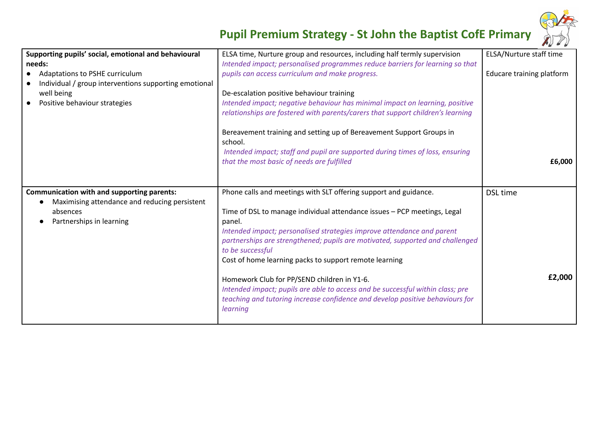

| Supporting pupils' social, emotional and behavioural<br>needs:<br>Adaptations to PSHE curriculum<br>Individual / group interventions supporting emotional<br>well being<br>Positive behaviour strategies | ELSA time, Nurture group and resources, including half termly supervision<br>Intended impact; personalised programmes reduce barriers for learning so that<br>pupils can access curriculum and make progress.<br>De-escalation positive behaviour training<br>Intended impact; negative behaviour has minimal impact on learning, positive<br>relationships are fostered with parents/carers that support children's learning | ELSA/Nurture staff time<br>Educare training platform |
|----------------------------------------------------------------------------------------------------------------------------------------------------------------------------------------------------------|-------------------------------------------------------------------------------------------------------------------------------------------------------------------------------------------------------------------------------------------------------------------------------------------------------------------------------------------------------------------------------------------------------------------------------|------------------------------------------------------|
|                                                                                                                                                                                                          | Bereavement training and setting up of Bereavement Support Groups in<br>school.<br>Intended impact; staff and pupil are supported during times of loss, ensuring<br>that the most basic of needs are fulfilled                                                                                                                                                                                                                | £6,000                                               |
| <b>Communication with and supporting parents:</b><br>Maximising attendance and reducing persistent<br>absences<br>Partnerships in learning                                                               | Phone calls and meetings with SLT offering support and guidance.<br>Time of DSL to manage individual attendance issues - PCP meetings, Legal<br>panel.<br>Intended impact; personalised strategies improve attendance and parent<br>partnerships are strengthened; pupils are motivated, supported and challenged<br>to be successful<br>Cost of home learning packs to support remote learning                               | <b>DSL</b> time                                      |
|                                                                                                                                                                                                          | Homework Club for PP/SEND children in Y1-6.<br>Intended impact; pupils are able to access and be successful within class; pre<br>teaching and tutoring increase confidence and develop positive behaviours for<br>learning                                                                                                                                                                                                    | £2,000                                               |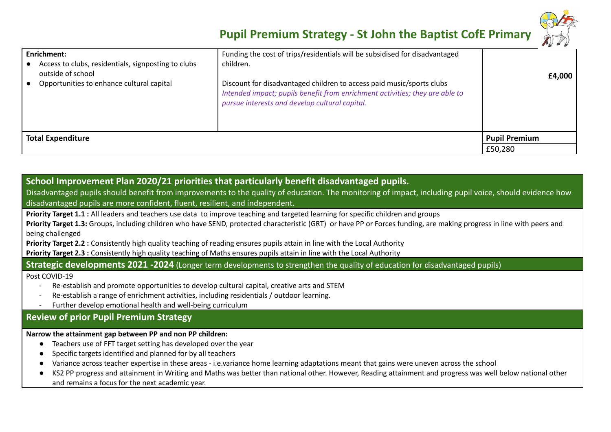

| <b>Enrichment:</b><br>Access to clubs, residentials, signposting to clubs<br>outside of school<br>Opportunities to enhance cultural capital | Funding the cost of trips/residentials will be subsidised for disadvantaged<br>children.<br>Discount for disadvantaged children to access paid music/sports clubs<br>Intended impact; pupils benefit from enrichment activities; they are able to<br>pursue interests and develop cultural capital. | £4,000               |
|---------------------------------------------------------------------------------------------------------------------------------------------|-----------------------------------------------------------------------------------------------------------------------------------------------------------------------------------------------------------------------------------------------------------------------------------------------------|----------------------|
| <b>Total Expenditure</b>                                                                                                                    |                                                                                                                                                                                                                                                                                                     | <b>Pupil Premium</b> |
|                                                                                                                                             |                                                                                                                                                                                                                                                                                                     | £50,280              |

## **School Improvement Plan 2020/21 priorities that particularly benefit disadvantaged pupils.**

Disadvantaged pupils should benefit from improvements to the quality of education. The monitoring of impact, including pupil voice, should evidence how disadvantaged pupils are more confident, fluent, resilient, and independent.

**Priority Target 1.1 :** All leaders and teachers use data to improve teaching and targeted learning for specific children and groups

**Priority Target 1.3:** Groups, including children who have SEND, protected characteristic (GRT) or have PP or Forces funding, are making progress in line with peers and being challenged

**Priority Target 2.2 :** Consistently high quality teaching of reading ensures pupils attain in line with the Local Authority

**Priority Target 2.3 :** Consistently high quality teaching of Maths ensures pupils attain in line with the Local Authority

**Strategic developments 2021 -2024** (Longer term developments to strengthen the quality of education for disadvantaged pupils)

Post COVID-19

- Re-establish and promote opportunities to develop cultural capital, creative arts and STEM
- Re-establish a range of enrichment activities, including residentials / outdoor learning.
- Further develop emotional health and well-being curriculum

## **Review of prior Pupil Premium Strategy**

### **Narrow the attainment gap between PP and non PP children:**

- Teachers use of FFT target setting has developed over the year
- Specific targets identified and planned for by all teachers
- Variance across teacher expertise in these areas i.e.variance home learning adaptations meant that gains were uneven across the school
- KS2 PP progress and attainment in Writing and Maths was better than national other. However, Reading attainment and progress was well below national other and remains a focus for the next academic year.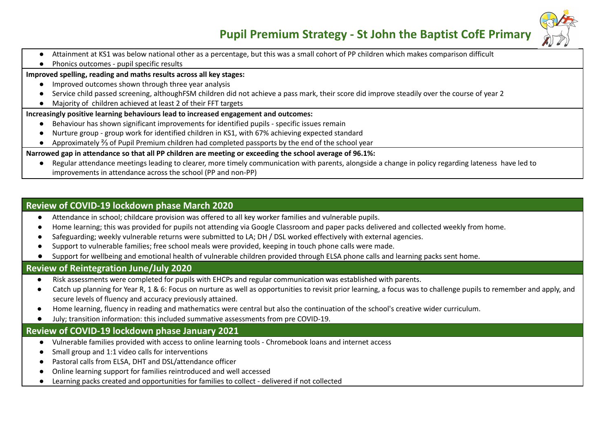

- Attainment at KS1 was below national other as a percentage, but this was a small cohort of PP children which makes comparison difficult
- Phonics outcomes pupil specific results

#### **Improved spelling, reading and maths results across all key stages:**

- Improved outcomes shown through three year analysis
- Service child passed screening, althoughFSM children did not achieve a pass mark, their score did improve steadily over the course of year 2
- Majority of children achieved at least 2 of their FFT targets

#### **Increasingly positive learning behaviours lead to increased engagement and outcomes:**

- Behaviour has shown significant improvements for identified pupils specific issues remain
- Nurture group group work for identified children in KS1, with 67% achieving expected standard
- Approximately <sup>2</sup>/<sub>3</sub> of Pupil Premium children had completed passports by the end of the school year

#### Narrowed gap in attendance so that all PP children are meeting or exceeding the school average of 96.1%:

● Regular attendance meetings leading to clearer, more timely communication with parents, alongside a change in policy regarding lateness have led to improvements in attendance across the school (PP and non-PP)

### **Review of COVID-19 lockdown phase March 2020**

- Attendance in school; childcare provision was offered to all key worker families and vulnerable pupils.
- Home learning; this was provided for pupils not attending via Google Classroom and paper packs delivered and collected weekly from home.
- Safeguarding; weekly vulnerable returns were submitted to LA; DH / DSL worked effectively with external agencies.
- **●** Support to vulnerable families; free school meals were provided, keeping in touch phone calls were made.
- Support for wellbeing and emotional health of vulnerable children provided through ELSA phone calls and learning packs sent home.

### **Review of Reintegration June/July 2020**

- Risk assessments were completed for pupils with EHCPs and regular communication was established with parents.
- Catch up planning for Year R, 1 & 6: Focus on nurture as well as opportunities to revisit prior learning, a focus was to challenge pupils to remember and apply, and secure levels of fluency and accuracy previously attained.
- Home learning, fluency in reading and mathematics were central but also the continuation of the school's creative wider curriculum.
- **●** July; transition information: this included summative assessments from pre COVID-19.

## **Review of COVID-19 lockdown phase January 2021**

- Vulnerable families provided with access to online learning tools Chromebook loans and internet access
- Small group and 1:1 video calls for interventions
- Pastoral calls from ELSA, DHT and DSL/attendance officer
- Online learning support for families reintroduced and well accessed
- Learning packs created and opportunities for families to collect delivered if not collected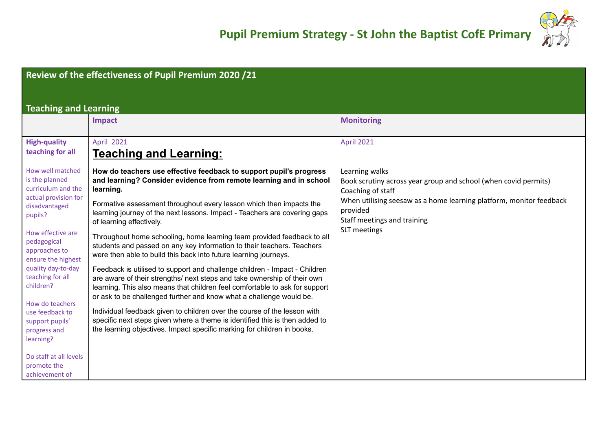

|                                                                                                                                                                                                                                                                                                                         | Review of the effectiveness of Pupil Premium 2020 /21                                                                                                                                                                                                                                                                                                                                                                                                                                                                                                                                                                                                                                                                                                                                                                                                                                                                                                                                                                                                                                                               |                                                                                                                                                                                                                                          |
|-------------------------------------------------------------------------------------------------------------------------------------------------------------------------------------------------------------------------------------------------------------------------------------------------------------------------|---------------------------------------------------------------------------------------------------------------------------------------------------------------------------------------------------------------------------------------------------------------------------------------------------------------------------------------------------------------------------------------------------------------------------------------------------------------------------------------------------------------------------------------------------------------------------------------------------------------------------------------------------------------------------------------------------------------------------------------------------------------------------------------------------------------------------------------------------------------------------------------------------------------------------------------------------------------------------------------------------------------------------------------------------------------------------------------------------------------------|------------------------------------------------------------------------------------------------------------------------------------------------------------------------------------------------------------------------------------------|
| <b>Teaching and Learning</b>                                                                                                                                                                                                                                                                                            |                                                                                                                                                                                                                                                                                                                                                                                                                                                                                                                                                                                                                                                                                                                                                                                                                                                                                                                                                                                                                                                                                                                     |                                                                                                                                                                                                                                          |
|                                                                                                                                                                                                                                                                                                                         | <b>Impact</b>                                                                                                                                                                                                                                                                                                                                                                                                                                                                                                                                                                                                                                                                                                                                                                                                                                                                                                                                                                                                                                                                                                       | <b>Monitoring</b>                                                                                                                                                                                                                        |
| <b>High-quality</b>                                                                                                                                                                                                                                                                                                     | <b>April 2021</b>                                                                                                                                                                                                                                                                                                                                                                                                                                                                                                                                                                                                                                                                                                                                                                                                                                                                                                                                                                                                                                                                                                   | <b>April 2021</b>                                                                                                                                                                                                                        |
| teaching for all                                                                                                                                                                                                                                                                                                        | <u>Teaching and Learning:</u>                                                                                                                                                                                                                                                                                                                                                                                                                                                                                                                                                                                                                                                                                                                                                                                                                                                                                                                                                                                                                                                                                       |                                                                                                                                                                                                                                          |
| How well matched<br>is the planned<br>curriculum and the<br>actual provision for<br>disadvantaged<br>pupils?<br>How effective are<br>pedagogical<br>approaches to<br>ensure the highest<br>quality day-to-day<br>teaching for all<br>children?<br>How do teachers<br>use feedback to<br>support pupils'<br>progress and | How do teachers use effective feedback to support pupil's progress<br>and learning? Consider evidence from remote learning and in school<br>learning.<br>Formative assessment throughout every lesson which then impacts the<br>learning journey of the next lessons. Impact - Teachers are covering gaps<br>of learning effectively.<br>Throughout home schooling, home learning team provided feedback to all<br>students and passed on any key information to their teachers. Teachers<br>were then able to build this back into future learning journeys.<br>Feedback is utilised to support and challenge children - Impact - Children<br>are aware of their strengths/ next steps and take ownership of their own<br>learning. This also means that children feel comfortable to ask for support<br>or ask to be challenged further and know what a challenge would be.<br>Individual feedback given to children over the course of the lesson with<br>specific next steps given where a theme is identified this is then added to<br>the learning objectives. Impact specific marking for children in books. | Learning walks<br>Book scrutiny across year group and school (when covid permits)<br>Coaching of staff<br>When utilising seesaw as a home learning platform, monitor feedback<br>provided<br>Staff meetings and training<br>SLT meetings |
| learning?<br>Do staff at all levels<br>promote the                                                                                                                                                                                                                                                                      |                                                                                                                                                                                                                                                                                                                                                                                                                                                                                                                                                                                                                                                                                                                                                                                                                                                                                                                                                                                                                                                                                                                     |                                                                                                                                                                                                                                          |
| achievement of                                                                                                                                                                                                                                                                                                          |                                                                                                                                                                                                                                                                                                                                                                                                                                                                                                                                                                                                                                                                                                                                                                                                                                                                                                                                                                                                                                                                                                                     |                                                                                                                                                                                                                                          |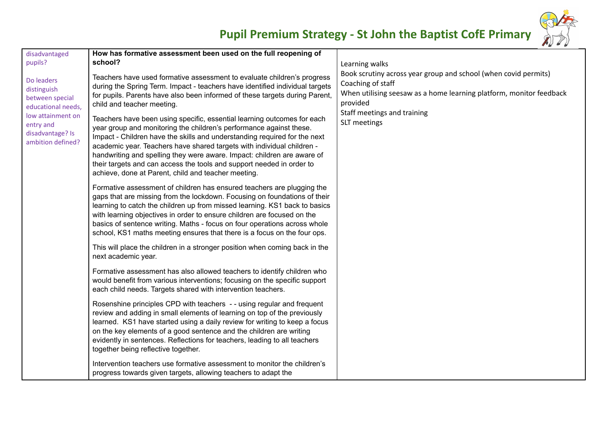

| disadvantaged                                                                                                                                 | How has formative assessment been used on the full reopening of                                                                                                                                                                                                                                                                                                                                                                                                                                                                                                                                                                                          |                                                                                                                                                                                                                                          |
|-----------------------------------------------------------------------------------------------------------------------------------------------|----------------------------------------------------------------------------------------------------------------------------------------------------------------------------------------------------------------------------------------------------------------------------------------------------------------------------------------------------------------------------------------------------------------------------------------------------------------------------------------------------------------------------------------------------------------------------------------------------------------------------------------------------------|------------------------------------------------------------------------------------------------------------------------------------------------------------------------------------------------------------------------------------------|
| pupils?                                                                                                                                       | school?                                                                                                                                                                                                                                                                                                                                                                                                                                                                                                                                                                                                                                                  |                                                                                                                                                                                                                                          |
| Do leaders<br>distinguish<br>between special<br>educational needs,<br>low attainment on<br>entry and<br>disadvantage? Is<br>ambition defined? | Teachers have used formative assessment to evaluate children's progress<br>during the Spring Term. Impact - teachers have identified individual targets<br>for pupils. Parents have also been informed of these targets during Parent,<br>child and teacher meeting.<br>Teachers have been using specific, essential learning outcomes for each<br>year group and monitoring the children's performance against these.<br>Impact - Children have the skills and understanding required for the next<br>academic year. Teachers have shared targets with individual children -<br>handwriting and spelling they were aware. Impact: children are aware of | Learning walks<br>Book scrutiny across year group and school (when covid permits)<br>Coaching of staff<br>When utilising seesaw as a home learning platform, monitor feedback<br>provided<br>Staff meetings and training<br>SLT meetings |
|                                                                                                                                               | their targets and can access the tools and support needed in order to<br>achieve, done at Parent, child and teacher meeting.                                                                                                                                                                                                                                                                                                                                                                                                                                                                                                                             |                                                                                                                                                                                                                                          |
|                                                                                                                                               | Formative assessment of children has ensured teachers are plugging the<br>gaps that are missing from the lockdown. Focusing on foundations of their<br>learning to catch the children up from missed learning. KS1 back to basics<br>with learning objectives in order to ensure children are focused on the<br>basics of sentence writing. Maths - focus on four operations across whole<br>school, KS1 maths meeting ensures that there is a focus on the four ops.                                                                                                                                                                                    |                                                                                                                                                                                                                                          |
|                                                                                                                                               | This will place the children in a stronger position when coming back in the<br>next academic year.                                                                                                                                                                                                                                                                                                                                                                                                                                                                                                                                                       |                                                                                                                                                                                                                                          |
|                                                                                                                                               | Formative assessment has also allowed teachers to identify children who<br>would benefit from various interventions; focusing on the specific support<br>each child needs. Targets shared with intervention teachers.                                                                                                                                                                                                                                                                                                                                                                                                                                    |                                                                                                                                                                                                                                          |
|                                                                                                                                               | Rosenshine principles CPD with teachers -- using regular and frequent<br>review and adding in small elements of learning on top of the previously<br>learned. KS1 have started using a daily review for writing to keep a focus<br>on the key elements of a good sentence and the children are writing<br>evidently in sentences. Reflections for teachers, leading to all teachers<br>together being reflective together.                                                                                                                                                                                                                               |                                                                                                                                                                                                                                          |
|                                                                                                                                               | Intervention teachers use formative assessment to monitor the children's<br>progress towards given targets, allowing teachers to adapt the                                                                                                                                                                                                                                                                                                                                                                                                                                                                                                               |                                                                                                                                                                                                                                          |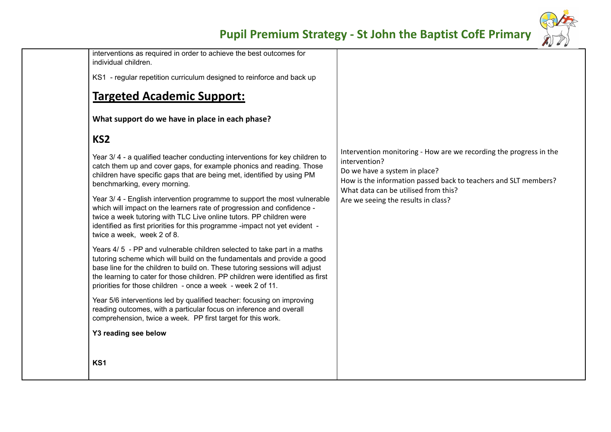

interventions as required in order to achieve the best outcomes for individual children.

KS1 - regular repetition curriculum designed to reinforce and back up

## **Targeted Academic Support:**

**What support do we have in place in each phase?**

## **KS2**

Year 3/ 4 - a qualified teacher conducting interventions for key children to catch them up and cover gaps, for example phonics and reading. Those children have specific gaps that are being met, identified by using PM benchmarking, every morning.

Year 3/ 4 - English intervention programme to support the most vulnerable which will impact on the learners rate of progression and confidence twice a week tutoring with TLC Live online tutors. PP children were identified as first priorities for this programme -impact not yet evident twice a week, week 2 of 8.

Years 4/ 5 - PP and vulnerable children selected to take part in a maths tutoring scheme which will build on the fundamentals and provide a good base line for the children to build on. These tutoring sessions will adjust the learning to cater for those children. PP children were identified as first priorities for those children - once a week - week 2 of 11.

Year 5/6 interventions led by qualified teacher: focusing on improving reading outcomes, with a particular focus on inference and overall comprehension, twice a week. PP first target for this work.

### **Y3 reading see below**

Intervention monitoring - How are we recording the progress in the intervention? Do we have a system in place? How is the information passed back to teachers and SLT members? What data can be utilised from this? Are we seeing the results in class?

**KS1**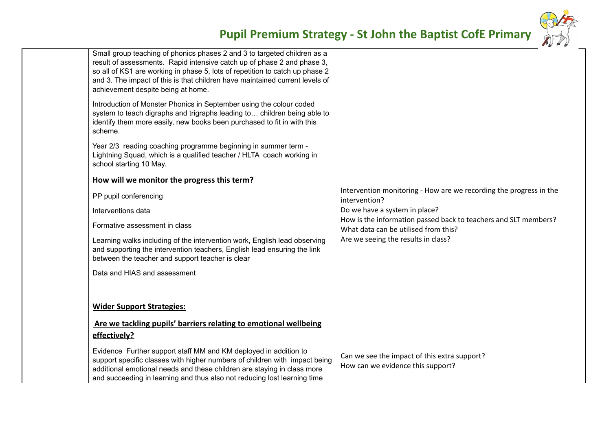

|                         | Small group teaching of phonics phases 2 and 3 to targeted children as a<br>result of assessments. Rapid intensive catch up of phase 2 and phase 3,<br>so all of KS1 are working in phase 5, lots of repetition to catch up phase 2<br>and 3. The impact of this is that children have maintained current levels of<br>achievement despite being at home. |                                                                                                         |
|-------------------------|-----------------------------------------------------------------------------------------------------------------------------------------------------------------------------------------------------------------------------------------------------------------------------------------------------------------------------------------------------------|---------------------------------------------------------------------------------------------------------|
| scheme.                 | Introduction of Monster Phonics in September using the colour coded<br>system to teach digraphs and trigraphs leading to children being able to<br>identify them more easily, new books been purchased to fit in with this                                                                                                                                |                                                                                                         |
| school starting 10 May. | Year 2/3 reading coaching programme beginning in summer term -<br>Lightning Squad, which is a qualified teacher / HLTA coach working in                                                                                                                                                                                                                   |                                                                                                         |
|                         | How will we monitor the progress this term?                                                                                                                                                                                                                                                                                                               |                                                                                                         |
| PP pupil conferencing   |                                                                                                                                                                                                                                                                                                                                                           | Intervention monitoring - How are we recording the progress in the<br>intervention?                     |
| Interventions data      |                                                                                                                                                                                                                                                                                                                                                           | Do we have a system in place?                                                                           |
|                         | Formative assessment in class                                                                                                                                                                                                                                                                                                                             | How is the information passed back to teachers and SLT members?<br>What data can be utilised from this? |
|                         | Learning walks including of the intervention work, English lead observing<br>and supporting the intervention teachers, English lead ensuring the link<br>between the teacher and support teacher is clear                                                                                                                                                 | Are we seeing the results in class?                                                                     |
|                         | Data and HIAS and assessment                                                                                                                                                                                                                                                                                                                              |                                                                                                         |
|                         |                                                                                                                                                                                                                                                                                                                                                           |                                                                                                         |
|                         | <b>Wider Support Strategies:</b>                                                                                                                                                                                                                                                                                                                          |                                                                                                         |
|                         | Are we tackling pupils' barriers relating to emotional wellbeing                                                                                                                                                                                                                                                                                          |                                                                                                         |
| effectively?            |                                                                                                                                                                                                                                                                                                                                                           |                                                                                                         |
|                         | Evidence Further support staff MM and KM deployed in addition to<br>support specific classes with higher numbers of children with impact being<br>additional emotional needs and these children are staying in class more<br>and succeeding in learning and thus also not reducing lost learning time                                                     | Can we see the impact of this extra support?<br>How can we evidence this support?                       |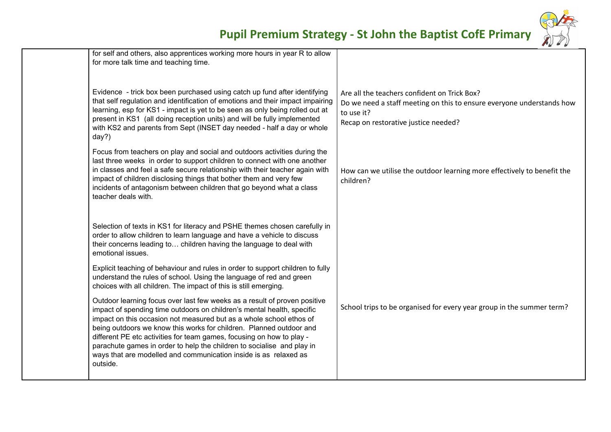

| for self and others, also apprentices working more hours in year R to allow<br>for more talk time and teaching time.                                                                                                                                                                                                                                                                                                                                                                                                                 |                                                                                                                                                                             |
|--------------------------------------------------------------------------------------------------------------------------------------------------------------------------------------------------------------------------------------------------------------------------------------------------------------------------------------------------------------------------------------------------------------------------------------------------------------------------------------------------------------------------------------|-----------------------------------------------------------------------------------------------------------------------------------------------------------------------------|
| Evidence - trick box been purchased using catch up fund after identifying<br>that self regulation and identification of emotions and their impact impairing<br>learning, esp for KS1 - impact is yet to be seen as only being rolled out at<br>present in KS1 (all doing reception units) and will be fully implemented<br>with KS2 and parents from Sept (INSET day needed - half a day or whole<br>day?)                                                                                                                           | Are all the teachers confident on Trick Box?<br>Do we need a staff meeting on this to ensure everyone understands how<br>to use it?<br>Recap on restorative justice needed? |
| Focus from teachers on play and social and outdoors activities during the<br>last three weeks in order to support children to connect with one another<br>in classes and feel a safe secure relationship with their teacher again with<br>impact of children disclosing things that bother them and very few<br>incidents of antagonism between children that go beyond what a class<br>teacher deals with.                                                                                                                          | How can we utilise the outdoor learning more effectively to benefit the<br>children?                                                                                        |
| Selection of texts in KS1 for literacy and PSHE themes chosen carefully in<br>order to allow children to learn language and have a vehicle to discuss<br>their concerns leading to children having the language to deal with<br>emotional issues.                                                                                                                                                                                                                                                                                    |                                                                                                                                                                             |
| Explicit teaching of behaviour and rules in order to support children to fully<br>understand the rules of school. Using the language of red and green<br>choices with all children. The impact of this is still emerging.                                                                                                                                                                                                                                                                                                            |                                                                                                                                                                             |
| Outdoor learning focus over last few weeks as a result of proven positive<br>impact of spending time outdoors on children's mental health, specific<br>impact on this occasion not measured but as a whole school ethos of<br>being outdoors we know this works for children. Planned outdoor and<br>different PE etc activities for team games, focusing on how to play -<br>parachute games in order to help the children to socialise and play in<br>ways that are modelled and communication inside is as relaxed as<br>outside. | School trips to be organised for every year group in the summer term?                                                                                                       |
|                                                                                                                                                                                                                                                                                                                                                                                                                                                                                                                                      |                                                                                                                                                                             |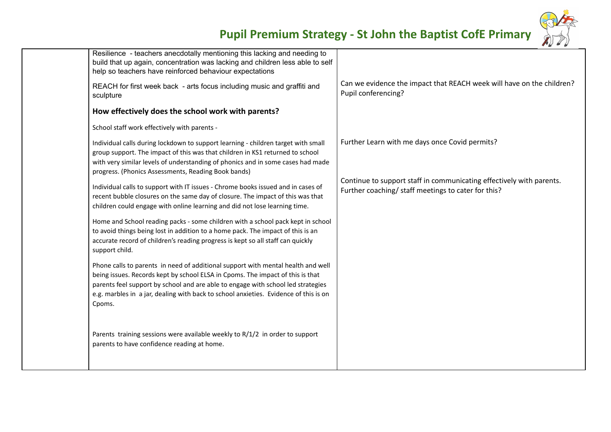

| Resilience - teachers anecdotally mentioning this lacking and needing to<br>build that up again, concentration was lacking and children less able to self<br>help so teachers have reinforced behaviour expectations                                                                                                                                     |                                                                                                                             |
|----------------------------------------------------------------------------------------------------------------------------------------------------------------------------------------------------------------------------------------------------------------------------------------------------------------------------------------------------------|-----------------------------------------------------------------------------------------------------------------------------|
| REACH for first week back - arts focus including music and graffiti and<br>sculpture                                                                                                                                                                                                                                                                     | Can we evidence the impact that REACH week will have on the children?<br>Pupil conferencing?                                |
| How effectively does the school work with parents?                                                                                                                                                                                                                                                                                                       |                                                                                                                             |
| School staff work effectively with parents -                                                                                                                                                                                                                                                                                                             |                                                                                                                             |
| Individual calls during lockdown to support learning - children target with small<br>group support. The impact of this was that children in KS1 returned to school<br>with very similar levels of understanding of phonics and in some cases had made<br>progress. (Phonics Assessments, Reading Book bands)                                             | Further Learn with me days once Covid permits?                                                                              |
| Individual calls to support with IT issues - Chrome books issued and in cases of<br>recent bubble closures on the same day of closure. The impact of this was that<br>children could engage with online learning and did not lose learning time.                                                                                                         | Continue to support staff in communicating effectively with parents.<br>Further coaching/ staff meetings to cater for this? |
| Home and School reading packs - some children with a school pack kept in school<br>to avoid things being lost in addition to a home pack. The impact of this is an<br>accurate record of children's reading progress is kept so all staff can quickly<br>support child.                                                                                  |                                                                                                                             |
| Phone calls to parents in need of additional support with mental health and well<br>being issues. Records kept by school ELSA in Cpoms. The impact of this is that<br>parents feel support by school and are able to engage with school led strategies<br>e.g. marbles in a jar, dealing with back to school anxieties. Evidence of this is on<br>Cpoms. |                                                                                                                             |
| Parents training sessions were available weekly to R/1/2 in order to support<br>parents to have confidence reading at home.                                                                                                                                                                                                                              |                                                                                                                             |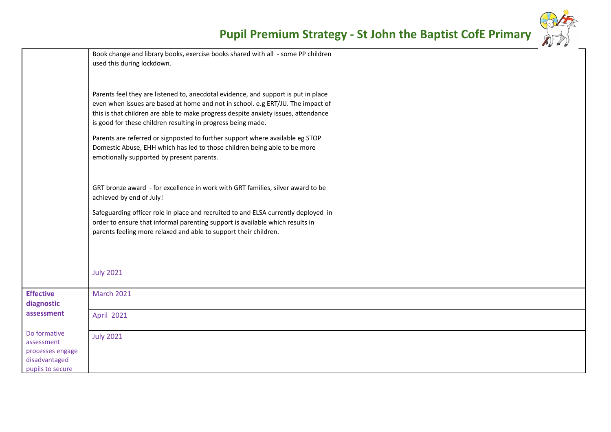

|                                                                                     |                                                                                                                                                                                                                                                                                                                             | $\sim$ $\sim$ $\sim$ |  |
|-------------------------------------------------------------------------------------|-----------------------------------------------------------------------------------------------------------------------------------------------------------------------------------------------------------------------------------------------------------------------------------------------------------------------------|----------------------|--|
|                                                                                     | Book change and library books, exercise books shared with all - some PP children<br>used this during lockdown.                                                                                                                                                                                                              |                      |  |
|                                                                                     | Parents feel they are listened to, anecdotal evidence, and support is put in place<br>even when issues are based at home and not in school. e.g ERT/JU. The impact of<br>this is that children are able to make progress despite anxiety issues, attendance<br>is good for these children resulting in progress being made. |                      |  |
|                                                                                     | Parents are referred or signposted to further support where available eg STOP<br>Domestic Abuse, EHH which has led to those children being able to be more<br>emotionally supported by present parents.                                                                                                                     |                      |  |
|                                                                                     | GRT bronze award - for excellence in work with GRT families, silver award to be<br>achieved by end of July!                                                                                                                                                                                                                 |                      |  |
|                                                                                     | Safeguarding officer role in place and recruited to and ELSA currently deployed in<br>order to ensure that informal parenting support is available which results in<br>parents feeling more relaxed and able to support their children.                                                                                     |                      |  |
|                                                                                     | <b>July 2021</b>                                                                                                                                                                                                                                                                                                            |                      |  |
| <b>Effective</b><br>diagnostic                                                      | <b>March 2021</b>                                                                                                                                                                                                                                                                                                           |                      |  |
| assessment                                                                          | <b>April 2021</b>                                                                                                                                                                                                                                                                                                           |                      |  |
| Do formative<br>assessment<br>processes engage<br>disadvantaged<br>pupils to secure | <b>July 2021</b>                                                                                                                                                                                                                                                                                                            |                      |  |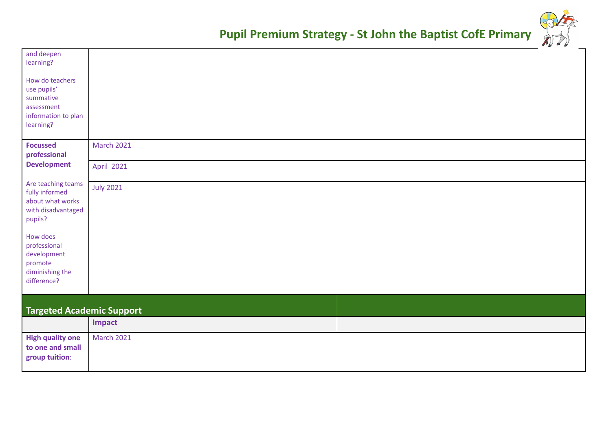| and deepen<br>learning?                                                                   |                   |  |
|-------------------------------------------------------------------------------------------|-------------------|--|
| How do teachers<br>use pupils'<br>summative<br>assessment                                 |                   |  |
| information to plan<br>learning?                                                          |                   |  |
| <b>Focussed</b><br>professional                                                           | <b>March 2021</b> |  |
| <b>Development</b>                                                                        | April 2021        |  |
| Are teaching teams<br>fully informed<br>about what works<br>with disadvantaged<br>pupils? | <b>July 2021</b>  |  |
| How does<br>professional<br>development<br>promote<br>diminishing the<br>difference?      |                   |  |
| <b>Targeted Academic Support</b>                                                          |                   |  |
|                                                                                           | Impact            |  |
| <b>High quality one</b><br>to one and small<br>group tuition:                             | <b>March 2021</b> |  |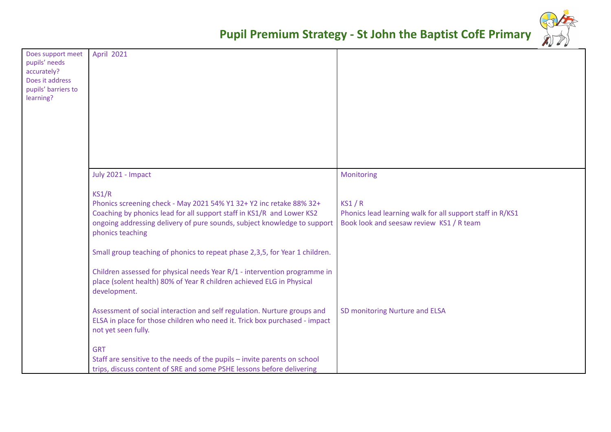

| Does support meet<br>pupils' needs<br>accurately?<br>Does it address<br>pupils' barriers to<br>learning? | <b>April 2021</b>                                                                                                                                                                                                                                                                                                                    |                                                                                                                |
|----------------------------------------------------------------------------------------------------------|--------------------------------------------------------------------------------------------------------------------------------------------------------------------------------------------------------------------------------------------------------------------------------------------------------------------------------------|----------------------------------------------------------------------------------------------------------------|
|                                                                                                          |                                                                                                                                                                                                                                                                                                                                      |                                                                                                                |
|                                                                                                          | July 2021 - Impact                                                                                                                                                                                                                                                                                                                   | Monitoring                                                                                                     |
|                                                                                                          | KS1/R<br>Phonics screening check - May 2021 54% Y1 32+ Y2 inc retake 88% 32+<br>Coaching by phonics lead for all support staff in KS1/R and Lower KS2<br>ongoing addressing delivery of pure sounds, subject knowledge to support<br>phonics teaching<br>Small group teaching of phonics to repeat phase 2,3,5, for Year 1 children. | KS1/R<br>Phonics lead learning walk for all support staff in R/KS1<br>Book look and seesaw review KS1 / R team |
|                                                                                                          |                                                                                                                                                                                                                                                                                                                                      |                                                                                                                |
|                                                                                                          | Children assessed for physical needs Year R/1 - intervention programme in<br>place (solent health) 80% of Year R children achieved ELG in Physical<br>development.                                                                                                                                                                   |                                                                                                                |
|                                                                                                          | Assessment of social interaction and self regulation. Nurture groups and<br>ELSA in place for those children who need it. Trick box purchased - impact<br>not yet seen fully.                                                                                                                                                        | SD monitoring Nurture and ELSA                                                                                 |
|                                                                                                          | <b>GRT</b><br>Staff are sensitive to the needs of the pupils - invite parents on school<br>trips, discuss content of SRE and some PSHE lessons before delivering                                                                                                                                                                     |                                                                                                                |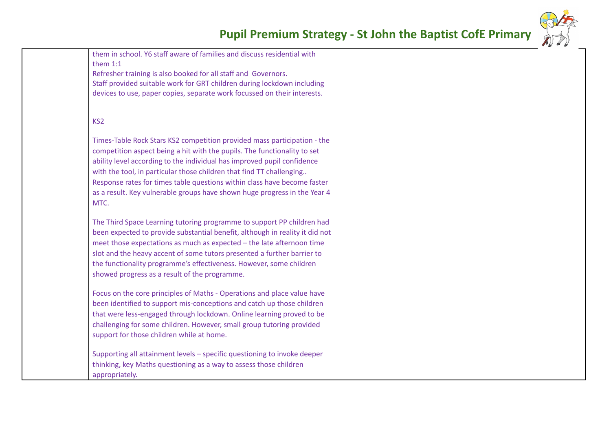them in school. Y6 staff aware of families and discuss residential with them 1:1

Refresher training is also booked for all staff and Governors. Staff provided suitable work for GRT children during lockdown including devices to use, paper copies, separate work focussed on their interests.

#### KS2

Times-Table Rock Stars KS2 competition provided mass participation - the competition aspect being a hit with the pupils. The functionality to set ability level according to the individual has improved pupil confidence with the tool, in particular those children that find TT challenging... Response rates for times table questions within class have become faster as a result. Key vulnerable groups have shown huge progress in the Year 4 MTC.

The Third Space Learning tutoring programme to support PP children had been expected to provide substantial benefit, although in reality it did not meet those expectations as much as expected – the late afternoon time slot and the heavy accent of some tutors presented a further barrier to the functionality programme's effectiveness. However, some children showed progress as a result of the programme.

Focus on the core principles of Maths - Operations and place value have been identified to support mis-conceptions and catch up those children that were less-engaged through lockdown. Online learning proved to be challenging for some children. However, small group tutoring provided support for those children while at home.

Supporting all attainment levels – specific questioning to invoke deeper thinking, key Maths questioning as a way to assess those children appropriately.

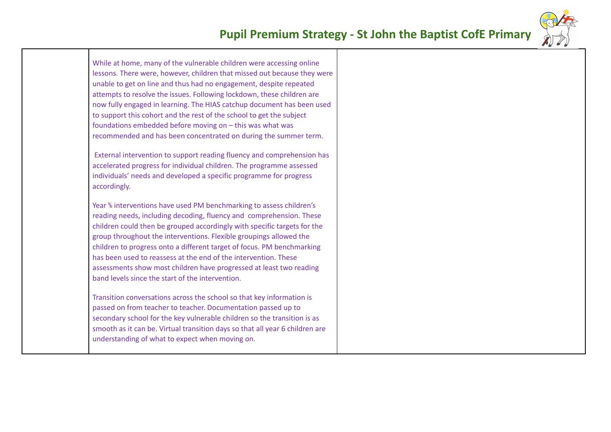

While at home, many of the vulnerable children were accessing online lessons. There were, however, children that missed out because they were unable to get on line and thus had no engagement, despite repeated attempts to resolve the issues. Following lockdown, these children are now fully engaged in learning. The HIAS catchup document has been used to support this cohort and the rest of the school to get the subject foundations embedded before moving on – this was what was recommended and has been concentrated on during the summer term.

External intervention to support reading fluency and comprehension has accelerated progress for individual children. The programme assessed individuals' needs and developed a specific programme for progress accordingly.

Year % interventions have used PM benchmarking to assess children's reading needs, including decoding, fluency and comprehension. These children could then be grouped accordingly with specific targets for the group throughout the interventions. Flexible groupings allowed the children to progress onto a different target of focus. PM benchmarking has been used to reassess at the end of the intervention. These assessments show most children have progressed at least two reading band levels since the start of the intervention.

Transition conversations across the school so that key information is passed on from teacher to teacher. Documentation passed up to secondary school for the key vulnerable children so the transition is as smooth as it can be. Virtual transition days so that all year 6 children are understanding of what to expect when moving on.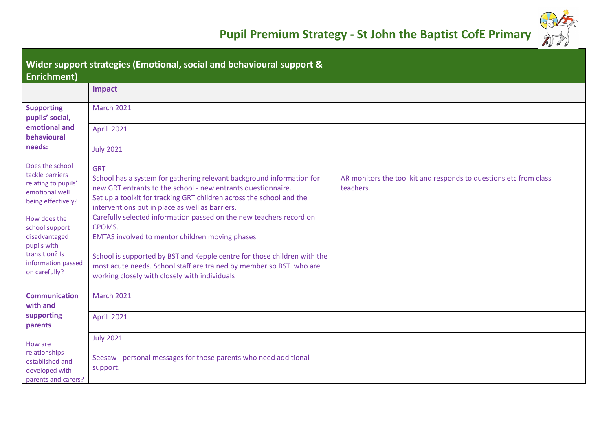

| <b>Enrichment)</b>                                                                                                                  | Wider support strategies (Emotional, social and behavioural support &                                                                                                                                                                                                                                                                                           |                                                                                |
|-------------------------------------------------------------------------------------------------------------------------------------|-----------------------------------------------------------------------------------------------------------------------------------------------------------------------------------------------------------------------------------------------------------------------------------------------------------------------------------------------------------------|--------------------------------------------------------------------------------|
|                                                                                                                                     | <b>Impact</b>                                                                                                                                                                                                                                                                                                                                                   |                                                                                |
| <b>Supporting</b><br>pupils' social,                                                                                                | <b>March 2021</b>                                                                                                                                                                                                                                                                                                                                               |                                                                                |
| emotional and<br>behavioural                                                                                                        | <b>April 2021</b>                                                                                                                                                                                                                                                                                                                                               |                                                                                |
| needs:                                                                                                                              | <b>July 2021</b>                                                                                                                                                                                                                                                                                                                                                |                                                                                |
| Does the school<br>tackle barriers<br>relating to pupils'<br>emotional well<br>being effectively?<br>How does the<br>school support | <b>GRT</b><br>School has a system for gathering relevant background information for<br>new GRT entrants to the school - new entrants questionnaire.<br>Set up a toolkit for tracking GRT children across the school and the<br>interventions put in place as well as barriers.<br>Carefully selected information passed on the new teachers record on<br>CPOMS. | AR monitors the tool kit and responds to questions etc from class<br>teachers. |
| disadvantaged<br>pupils with<br>transition? Is<br>information passed<br>on carefully?                                               | <b>EMTAS involved to mentor children moving phases</b><br>School is supported by BST and Kepple centre for those children with the<br>most acute needs. School staff are trained by member so BST who are<br>working closely with closely with individuals                                                                                                      |                                                                                |
| <b>Communication</b><br>with and                                                                                                    | <b>March 2021</b>                                                                                                                                                                                                                                                                                                                                               |                                                                                |
| supporting<br>parents                                                                                                               | <b>April 2021</b>                                                                                                                                                                                                                                                                                                                                               |                                                                                |
| How are<br>relationships<br>established and<br>developed with<br>parents and carers?                                                | <b>July 2021</b><br>Seesaw - personal messages for those parents who need additional<br>support.                                                                                                                                                                                                                                                                |                                                                                |